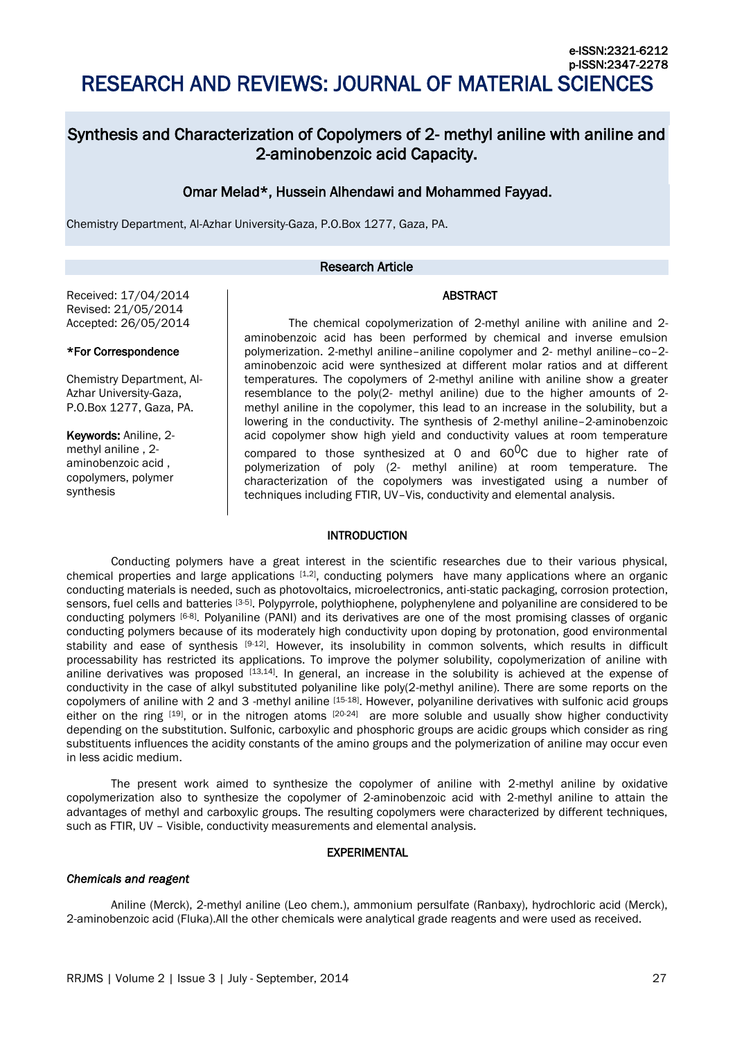# Synthesis and Characterization of Copolymers of 2- methyl aniline with aniline and 2-aminobenzoic acid Capacity.

## Omar Melad\*, Hussein Alhendawi and Mohammed Fayyad.

Chemistry Department, Al-Azhar University-Gaza, P.O.Box 1277, Gaza, PA.

## Research Article

## ABSTRACT

Received: 17/04/2014 Revised: 21/05/2014 Accepted: 26/05/2014

#### \*For Correspondence

Chemistry Department, Al-Azhar University-Gaza, P.O.Box 1277, Gaza, PA.

Keywords: Aniline, 2 methyl aniline , 2 aminobenzoic acid , copolymers, polymer synthesis

The chemical copolymerization of 2-methyl aniline with aniline and 2 aminobenzoic acid has been performed by chemical and inverse emulsion polymerization. 2-methyl aniline–aniline copolymer and 2- methyl aniline–co–2 aminobenzoic acid were synthesized at different molar ratios and at different temperatures. The copolymers of 2-methyl aniline with aniline show a greater resemblance to the poly(2- methyl aniline) due to the higher amounts of 2 methyl aniline in the copolymer, this lead to an increase in the solubility, but a lowering in the conductivity. The synthesis of 2-methyl aniline–2-aminobenzoic acid copolymer show high yield and conductivity values at room temperature compared to those synthesized at  $0$  and  $60^0C$  due to higher rate of polymerization of poly (2- methyl aniline) at room temperature. The characterization of the copolymers was investigated using a number of techniques including FTIR, UV–Vis, conductivity and elemental analysis.

## INTRODUCTION

Conducting polymers have a great interest in the scientific researches due to their various physical, chemical properties and large applications [1,2], conducting polymers have many applications where an organic conducting materials is needed, such as photovoltaics, microelectronics, anti-static packaging, corrosion protection, sensors, fuel cells and batteries [3-5]. Polypyrrole, polythiophene, polyphenylene and polyaniline are considered to be conducting polymers [6-8]. Polyaniline (PANI) and its derivatives are one of the most promising classes of organic conducting polymers because of its moderately high conductivity upon doping by protonation, good environmental stability and ease of synthesis [9-12]. However, its insolubility in common solvents, which results in difficult processability has restricted its applications. To improve the polymer solubility, copolymerization of aniline with aniline derivatives was proposed  $[13,14]$ . In general, an increase in the solubility is achieved at the expense of conductivity in the case of alkyl substituted polyaniline like poly(2-methyl aniline). There are some reports on the copolymers of aniline with 2 and 3 -methyl aniline [15-18]. However, polyaniline derivatives with sulfonic acid groups either on the ring  $[19]$ , or in the nitrogen atoms  $[20-24]$  are more soluble and usually show higher conductivity depending on the substitution. Sulfonic, carboxylic and phosphoric groups are acidic groups which consider as ring substituents influences the acidity constants of the amino groups and the polymerization of aniline may occur even in less acidic medium.

The present work aimed to synthesize the copolymer of aniline with 2-methyl aniline by oxidative copolymerization also to synthesize the copolymer of 2-aminobenzoic acid with 2-methyl aniline to attain the advantages of methyl and carboxylic groups. The resulting copolymers were characterized by different techniques, such as FTIR, UV – Visible, conductivity measurements and elemental analysis.

## EXPERIMENTAL

#### *Chemicals and reagent*

Aniline (Merck), 2-methyl aniline (Leo chem.), ammonium persulfate (Ranbaxy), hydrochloric acid (Merck), 2-aminobenzoic acid (Fluka).All the other chemicals were analytical grade reagents and were used as received.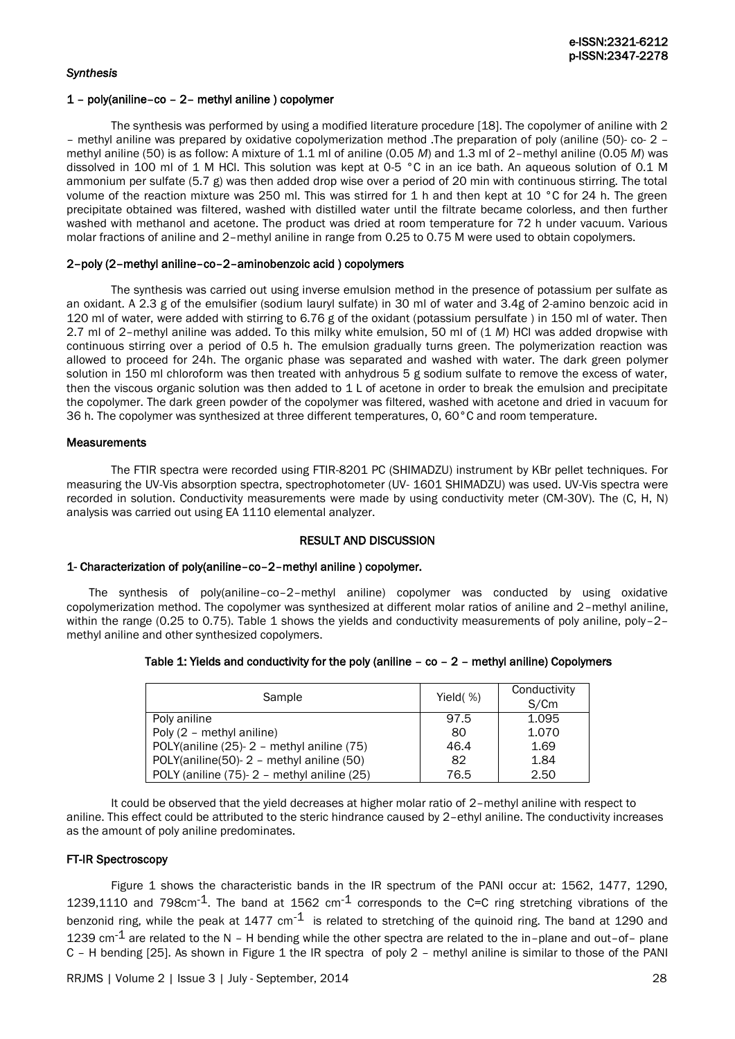## *Synthesis*

## 1 – poly(aniline–co – 2– methyl aniline ) copolymer

The synthesis was performed by using a modified literature procedure [18]. The copolymer of aniline with 2 – methyl aniline was prepared by oxidative copolymerization method .The preparation of poly (aniline (50)- co- 2 – methyl aniline (50) is as follow: A mixture of 1.1 ml of aniline (0.05 *M*) and 1.3 ml of 2–methyl aniline (0.05 *M*) was dissolved in 100 ml of 1 M HCl. This solution was kept at 0-5 °C in an ice bath. An aqueous solution of 0.1 M ammonium per sulfate (5.7 g) was then added drop wise over a period of 20 min with continuous stirring. The total volume of the reaction mixture was 250 ml. This was stirred for 1 h and then kept at 10 °C for 24 h. The green precipitate obtained was filtered, washed with distilled water until the filtrate became colorless, and then further washed with methanol and acetone. The product was dried at room temperature for 72 h under vacuum. Various molar fractions of aniline and 2–methyl aniline in range from 0.25 to 0.75 M were used to obtain copolymers.

## 2–poly (2–methyl aniline–co–2–aminobenzoic acid ) copolymers

The synthesis was carried out using inverse emulsion method in the presence of potassium per sulfate as an oxidant. A 2.3 g of the emulsifier (sodium lauryl sulfate) in 30 ml of water and 3.4g of 2-amino benzoic acid in 120 ml of water, were added with stirring to 6.76 g of the oxidant (potassium persulfate ) in 150 ml of water. Then 2.7 ml of 2–methyl aniline was added. To this milky white emulsion, 50 ml of (1 *M*) HCl was added dropwise with continuous stirring over a period of 0.5 h. The emulsion gradually turns green. The polymerization reaction was allowed to proceed for 24h. The organic phase was separated and washed with water. The dark green polymer solution in 150 ml chloroform was then treated with anhydrous 5 g sodium sulfate to remove the excess of water, then the viscous organic solution was then added to 1 L of acetone in order to break the emulsion and precipitate the copolymer. The dark green powder of the copolymer was filtered, washed with acetone and dried in vacuum for 36 h. The copolymer was synthesized at three different temperatures, 0, 60°C and room temperature.

## **Measurements**

The FTIR spectra were recorded using FTIR-8201 PC (SHIMADZU) instrument by KBr pellet techniques. For measuring the UV-Vis absorption spectra, spectrophotometer (UV- 1601 SHIMADZU) was used. UV-Vis spectra were recorded in solution. Conductivity measurements were made by using conductivity meter (CM-30V). The (C, H, N) analysis was carried out using EA 1110 elemental analyzer.

## RESULT AND DISCUSSION

## 1- Characterization of poly(aniline–co–2–methyl aniline ) copolymer.

The synthesis of poly(aniline–co–2–methyl aniline) copolymer was conducted by using oxidative copolymerization method. The copolymer was synthesized at different molar ratios of aniline and 2–methyl aniline, within the range (0.25 to 0.75). Table 1 shows the yields and conductivity measurements of poly aniline, poly-2methyl aniline and other synthesized copolymers.

| Sample                                     | Yield $( %)$ | Conductivity<br>S/Cm |
|--------------------------------------------|--------------|----------------------|
| Poly aniline                               | 97.5         | 1.095                |
| Poly (2 - methyl aniline)                  | 80           | 1.070                |
| POLY(aniline (25)-2 - methyl aniline (75)  | 46.4         | 1.69                 |
| POLY(aniline(50)-2 - methyl aniline (50)   | 82           | 1.84                 |
| POLY (aniline (75)-2 - methyl aniline (25) | 76.5         | 2.50                 |

#### Table 1: Yields and conductivity for the poly (aniline  $-$  co  $-$  2 – methyl aniline) Copolymers

It could be observed that the yield decreases at higher molar ratio of 2–methyl aniline with respect to aniline. This effect could be attributed to the steric hindrance caused by 2–ethyl aniline. The conductivity increases as the amount of poly aniline predominates.

## FT-IR Spectroscopy

Figure 1 shows the characteristic bands in the IR spectrum of the PANI occur at: 1562, 1477, 1290, 1239,1110 and 798cm<sup>-1</sup>. The band at 1562 cm<sup>-1</sup> corresponds to the C=C ring stretching vibrations of the benzonid ring, while the peak at 1477 cm<sup>-1</sup> is related to stretching of the quinoid ring. The band at 1290 and 1239 cm<sup>-1</sup> are related to the N – H bending while the other spectra are related to the in–plane and out–of– plane C – H bending [25]. As shown in Figure 1 the IR spectra of poly 2 – methyl aniline is similar to those of the PANI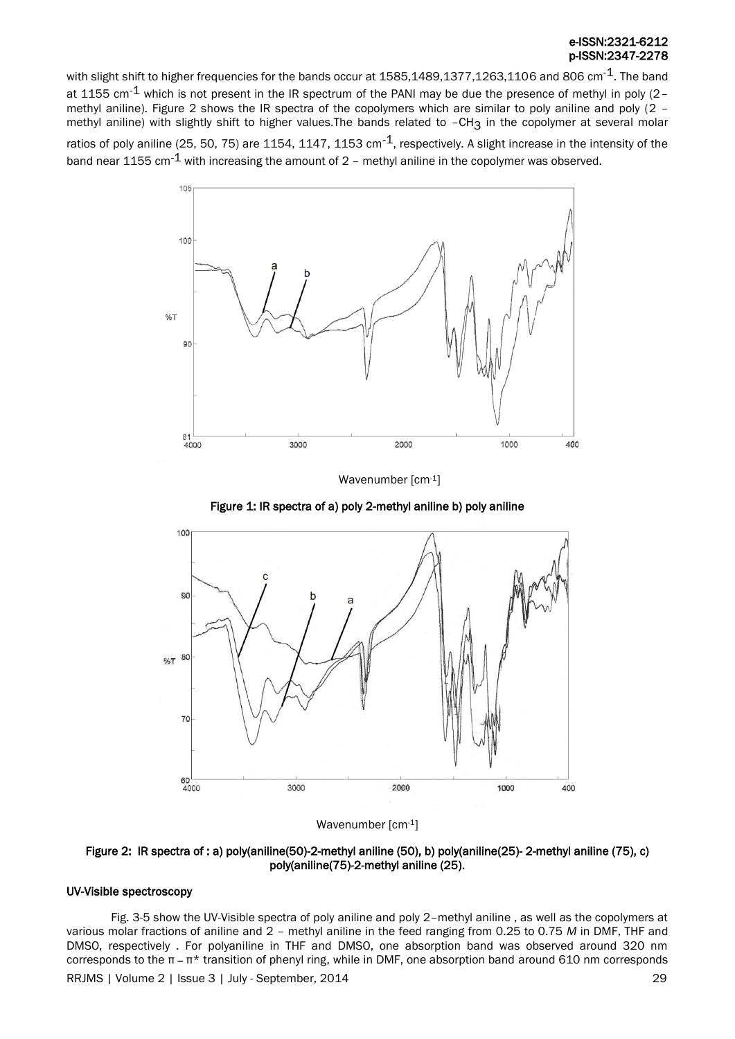## e-ISSN:2321-6212 p-ISSN:2347-2278

with slight shift to higher frequencies for the bands occur at 1585,1489,1377,1263,1106 and 806 cm<sup>-1</sup>. The band at 1155 cm<sup>-1</sup> which is not present in the IR spectrum of the PANI may be due the presence of methyl in poly (2methyl aniline). Figure 2 shows the IR spectra of the copolymers which are similar to poly aniline and poly (2 – methyl aniline) with slightly shift to higher values. The bands related to -CH<sub>3</sub> in the copolymer at several molar

ratios of poly aniline (25, 50, 75) are 1154, 1147, 1153 cm $^{-1}$ , respectively. A slight increase in the intensity of the band near 1155 cm<sup>-1</sup> with increasing the amount of 2 - methyl aniline in the copolymer was observed.



Wavenumber [cm-1]





Wavenumber [cm-1]

Figure 2: IR spectra of : a) poly(aniline(50)-2-methyl aniline (50), b) poly(aniline(25)- 2-methyl aniline (75), c) poly(aniline(75)-2-methyl aniline (25).

## UV-Visible spectroscopy

RRJMS | Volume 2 | Issue 3 | July - September, 2014 | 29 Fig. 3-5 show the UV-Visible spectra of poly aniline and poly 2–methyl aniline , as well as the copolymers at various molar fractions of aniline and 2 – methyl aniline in the feed ranging from 0.25 to 0.75 *M* in DMF, THF and DMSO, respectively . For polyaniline in THF and DMSO, one absorption band was observed around 320 nm corresponds to the π ــ π\* transition of phenyl ring, while in DMF, one absorption band around 610 nm corresponds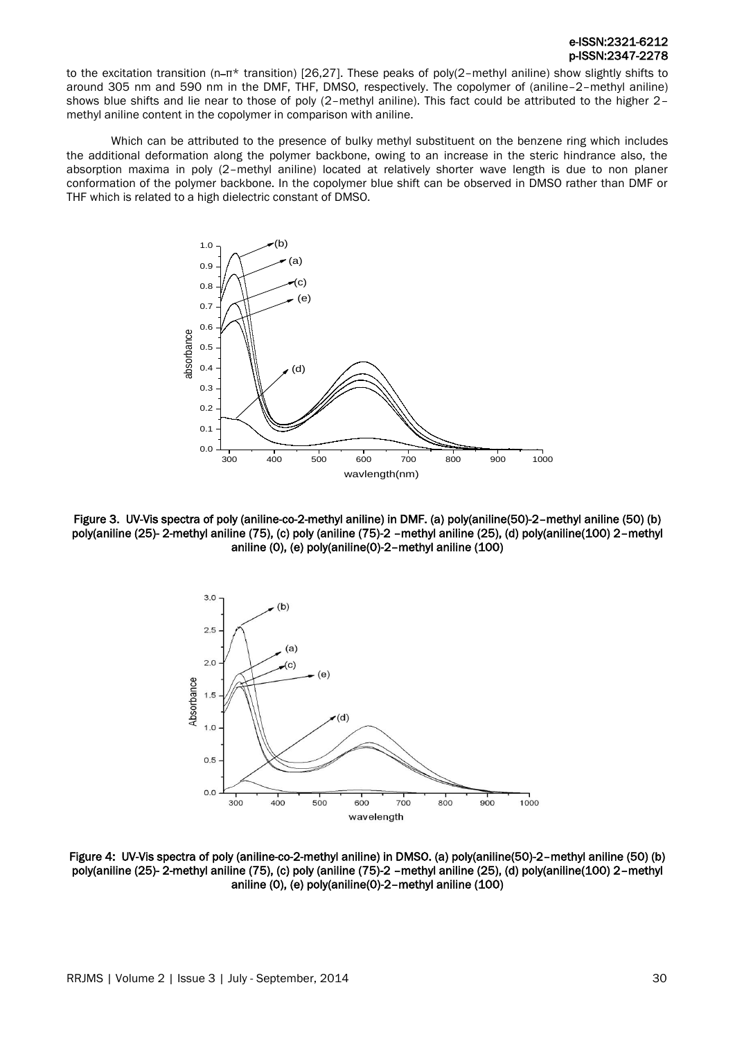## e-ISSN:2321-6212 p-ISSN:2347-2278

to the excitation transition (n-π\* transition) [26,27]. These peaks of poly(2-methyl aniline) show slightly shifts to around 305 nm and 590 nm in the DMF, THF, DMSO, respectively. The copolymer of (aniline–2–methyl aniline) shows blue shifts and lie near to those of poly (2–methyl aniline). This fact could be attributed to the higher 2– methyl aniline content in the copolymer in comparison with aniline.

Which can be attributed to the presence of bulky methyl substituent on the benzene ring which includes the additional deformation along the polymer backbone, owing to an increase in the steric hindrance also, the absorption maxima in poly (2–methyl aniline) located at relatively shorter wave length is due to non planer conformation of the polymer backbone. In the copolymer blue shift can be observed in DMSO rather than DMF or THF which is related to a high dielectric constant of DMSO.



Figure 3. UV-Vis spectra of poly (aniline-co-2-methyl aniline) in DMF. (a) poly(aniline(50)-2–methyl aniline (50) (b) poly(aniline (25)- 2-methyl aniline (75), (c) poly (aniline (75)-2 –methyl aniline (25), (d) poly(aniline(100) 2–methyl aniline (0), (e) poly(aniline(0)-2–methyl aniline (100)



Figure 4: UV-Vis spectra of poly (aniline-co-2-methyl aniline) in DMSO. (a) poly(aniline(50)-2–methyl aniline (50) (b) poly(aniline (25)- 2-methyl aniline (75), (c) poly (aniline (75)-2 –methyl aniline (25), (d) poly(aniline(100) 2–methyl aniline (0), (e) poly(aniline(0)-2–methyl aniline (100)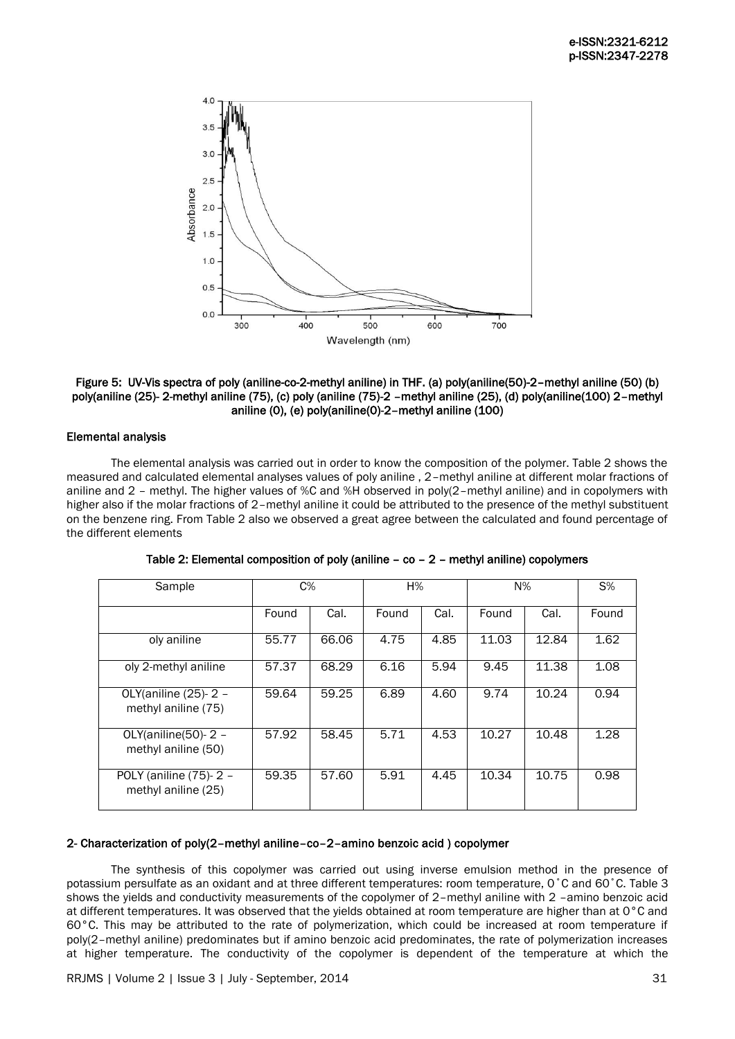

## Figure 5: UV-Vis spectra of poly (aniline-co-2-methyl aniline) in THF. (a) poly(aniline(50)-2–methyl aniline (50) (b) poly(aniline (25)- 2-methyl aniline (75), (c) poly (aniline (75)-2 –methyl aniline (25), (d) poly(aniline(100) 2–methyl aniline (0), (e) poly(aniline(0)-2–methyl aniline (100)

## Elemental analysis

The elemental analysis was carried out in order to know the composition of the polymer. Table 2 shows the measured and calculated elemental analyses values of poly aniline , 2–methyl aniline at different molar fractions of aniline and 2 – methyl. The higher values of %C and %H observed in poly(2–methyl aniline) and in copolymers with higher also if the molar fractions of 2–methyl aniline it could be attributed to the presence of the methyl substituent on the benzene ring. From Table 2 also we observed a great agree between the calculated and found percentage of the different elements

| Sample                                        | $C\%$ |       | H%    |      | $N\%$ |       | $S\%$ |
|-----------------------------------------------|-------|-------|-------|------|-------|-------|-------|
|                                               | Found | Cal.  | Found | Cal. | Found | Cal.  | Found |
| oly aniline                                   | 55.77 | 66.06 | 4.75  | 4.85 | 11.03 | 12.84 | 1.62  |
| oly 2-methyl aniline                          | 57.37 | 68.29 | 6.16  | 5.94 | 9.45  | 11.38 | 1.08  |
| OLY(aniline (25)- 2 -<br>methyl aniline (75)  | 59.64 | 59.25 | 6.89  | 4.60 | 9.74  | 10.24 | 0.94  |
| OLY(aniline(50)- $2 -$<br>methyl aniline (50) | 57.92 | 58.45 | 5.71  | 4.53 | 10.27 | 10.48 | 1.28  |
| POLY (aniline (75)-2 -<br>methyl aniline (25) | 59.35 | 57.60 | 5.91  | 4.45 | 10.34 | 10.75 | 0.98  |

Table 2: Elemental composition of poly (aniline – co – 2 – methyl aniline) copolymers

## 2- Characterization of poly(2–methyl aniline–co–2–amino benzoic acid ) copolymer

The synthesis of this copolymer was carried out using inverse emulsion method in the presence of potassium persulfate as an oxidant and at three different temperatures: room temperature, 0˚C and 60˚C. Table 3 shows the yields and conductivity measurements of the copolymer of 2–methyl aniline with 2 –amino benzoic acid at different temperatures. It was observed that the yields obtained at room temperature are higher than at 0°C and 60°C. This may be attributed to the rate of polymerization, which could be increased at room temperature if poly(2–methyl aniline) predominates but if amino benzoic acid predominates, the rate of polymerization increases at higher temperature. The conductivity of the copolymer is dependent of the temperature at which the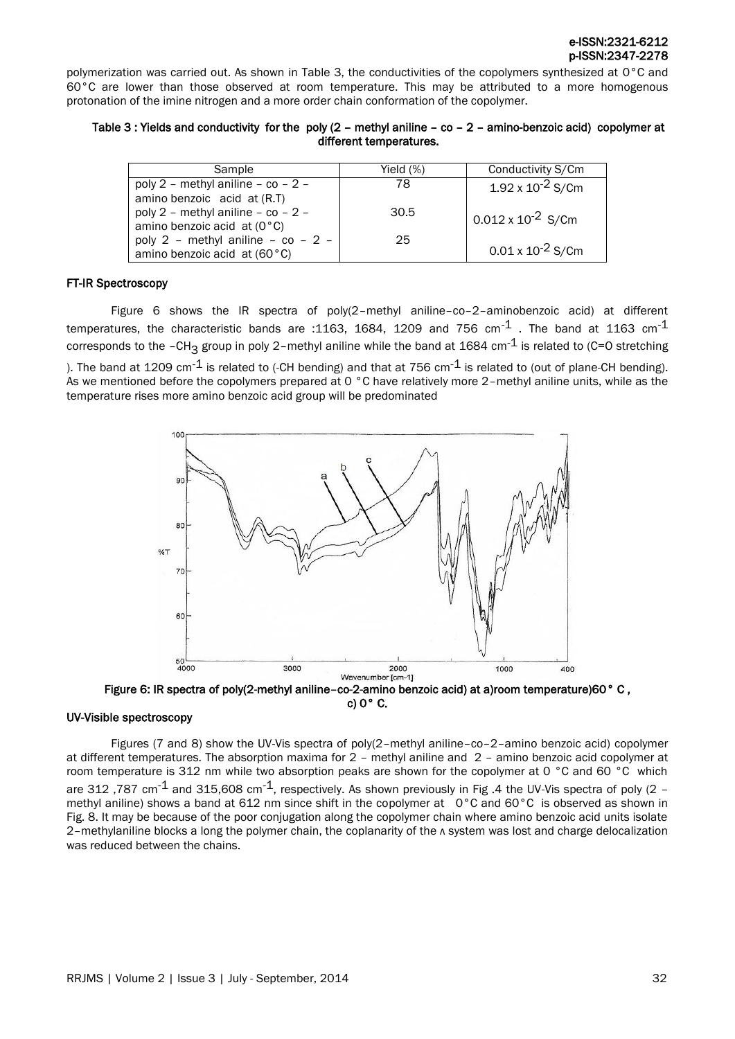polymerization was carried out. As shown in Table 3, the conductivities of the copolymers synthesized at 0°C and 60°C are lower than those observed at room temperature. This may be attributed to a more homogenous protonation of the imine nitrogen and a more order chain conformation of the copolymer.

## Table 3 : Yields and conductivity for the poly (2 – methyl aniline – co – 2 – amino-benzoic acid) copolymer at different temperatures.

| Sample                               | Yield $(\%)$ | Conductivity S/Cm           |
|--------------------------------------|--------------|-----------------------------|
| poly 2 - methyl aniline - co - 2 -   | 78           | $1.92 \times 10^{-2}$ S/Cm  |
| amino benzoic acid at (R.T)          |              |                             |
| poly 2 - methyl aniline - co - 2 -   | 30.5         | $0.012 \times 10^{-2}$ S/Cm |
| amino benzoic acid at $(0^{\circ}C)$ |              |                             |
| poly 2 - methyl aniline - co - 2 -   | 25           |                             |
| amino benzoic acid at (60°C)         |              | $0.01 \times 10^{-2}$ S/Cm  |

## FT-IR Spectroscopy

Figure 6 shows the IR spectra of poly(2–methyl aniline–co–2–aminobenzoic acid) at different temperatures, the characteristic bands are :1163, 1684, 1209 and 756 cm<sup>-1</sup>. The band at 1163 cm<sup>-1</sup> corresponds to the -CH<sub>3</sub> group in poly 2-methyl aniline while the band at 1684 cm<sup>-1</sup> is related to (C=O stretching

). The band at 1209 cm<sup>-1</sup> is related to (-CH bending) and that at 756 cm<sup>-1</sup> is related to (out of plane-CH bending). As we mentioned before the copolymers prepared at 0 °C have relatively more 2–methyl aniline units, while as the temperature rises more amino benzoic acid group will be predominated



Figure 6: IR spectra of poly(2-methyl aniline–co-2-amino benzoic acid) at a)room temperature)60° C , c) 0° C.

#### UV-Visible spectroscopy

Figures (7 and 8) show the UV-Vis spectra of poly(2–methyl aniline–co–2–amino benzoic acid) copolymer at different temperatures. The absorption maxima for 2 – methyl aniline and 2 – amino benzoic acid copolymer at room temperature is 312 nm while two absorption peaks are shown for the copolymer at 0 °C and 60 °C which are 312,787 cm<sup>-1</sup> and 315,608 cm<sup>-1</sup>, respectively. As shown previously in Fig .4 the UV-Vis spectra of poly (2 – methyl aniline) shows a band at 612 nm since shift in the copolymer at 0°C and 60°C is observed as shown in Fig. 8. It may be because of the poor conjugation along the copolymer chain where amino benzoic acid units isolate 2–methylaniline blocks a long the polymer chain, the coplanarity of the л system was lost and charge delocalization was reduced between the chains.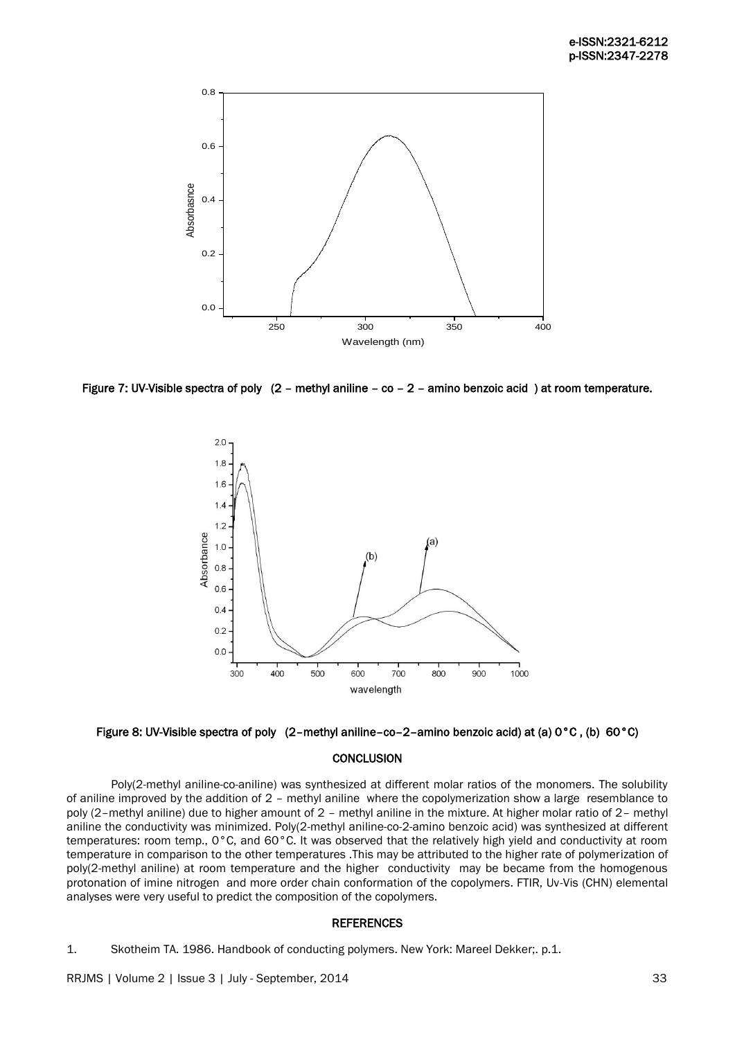

Figure 7: UV-Visible spectra of poly (2 – methyl aniline – co – 2 – amino benzoic acid ) at room temperature.





#### **CONCLUSION**

Poly(2-methyl aniline-co-aniline) was synthesized at different molar ratios of the monomers. The solubility of aniline improved by the addition of 2 – methyl aniline where the copolymerization show a large resemblance to poly (2–methyl aniline) due to higher amount of 2 – methyl aniline in the mixture. At higher molar ratio of 2– methyl aniline the conductivity was minimized. Poly(2-methyl aniline-co-2-amino benzoic acid) was synthesized at different temperatures: room temp., 0°C, and 60°C. It was observed that the relatively high yield and conductivity at room temperature in comparison to the other temperatures .This may be attributed to the higher rate of polymerization of poly(2-methyl aniline) at room temperature and the higher conductivity may be became from the homogenous protonation of imine nitrogen and more order chain conformation of the copolymers. FTIR, Uv-Vis (CHN) elemental analyses were very useful to predict the composition of the copolymers.

#### **REFERENCES**

1. Skotheim TA. 1986. Handbook of conducting polymers. New York: Mareel Dekker;. p.1.